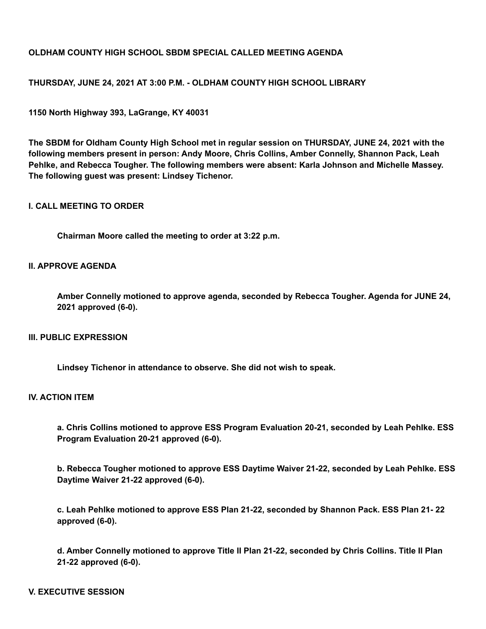# **OLDHAM COUNTY HIGH SCHOOL SBDM SPECIAL CALLED MEETING AGENDA**

## **THURSDAY, JUNE 24, 2021 AT 3:00 P.M. - OLDHAM COUNTY HIGH SCHOOL LIBRARY**

**1150 North Highway 393, LaGrange, KY 40031**

**The SBDM for Oldham County High School met in regular session on THURSDAY, JUNE 24, 2021 with the following members present in person: Andy Moore, Chris Collins, Amber Connelly, Shannon Pack, Leah Pehlke, and Rebecca Tougher. The following members were absent: Karla Johnson and Michelle Massey. The following guest was present: Lindsey Tichenor.**

#### **I. CALL MEETING TO ORDER**

**Chairman Moore called the meeting to order at 3:22 p.m.**

### **II. APPROVE AGENDA**

**Amber Connelly motioned to approve agenda, seconded by Rebecca Tougher. Agenda for JUNE 24, 2021 approved (6-0).**

#### **III. PUBLIC EXPRESSION**

**Lindsey Tichenor in attendance to observe. She did not wish to speak.**

### **IV. ACTION ITEM**

**a. Chris Collins motioned to approve ESS Program Evaluation 20-21, seconded by Leah Pehlke. ESS Program Evaluation 20-21 approved (6-0).**

**b. Rebecca Tougher motioned to approve ESS Daytime Waiver 21-22, seconded by Leah Pehlke. ESS Daytime Waiver 21-22 approved (6-0).**

**c. Leah Pehlke motioned to approve ESS Plan 21-22, seconded by Shannon Pack. ESS Plan 21- 22 approved (6-0).**

**d. Amber Connelly motioned to approve Title II Plan 21-22, seconded by Chris Collins. Title II Plan 21-22 approved (6-0).**

#### **V. EXECUTIVE SESSION**